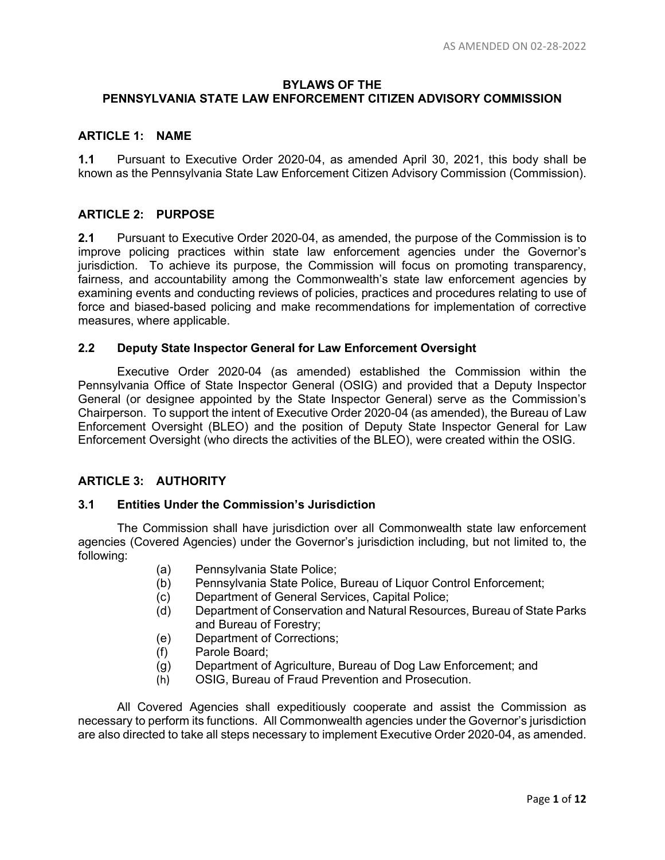# **BYLAWS OF THE PENNSYLVANIA STATE LAW ENFORCEMENT CITIZEN ADVISORY COMMISSION**

### **ARTICLE 1: NAME**

**1.1** Pursuant to Executive Order 2020-04, as amended April 30, 2021, this body shall be known as the Pennsylvania State Law Enforcement Citizen Advisory Commission (Commission).

### **ARTICLE 2: PURPOSE**

**2.1** Pursuant to Executive Order 2020-04, as amended, the purpose of the Commission is to improve policing practices within state law enforcement agencies under the Governor's jurisdiction. To achieve its purpose, the Commission will focus on promoting transparency, fairness, and accountability among the Commonwealth's state law enforcement agencies by examining events and conducting reviews of policies, practices and procedures relating to use of force and biased-based policing and make recommendations for implementation of corrective measures, where applicable.

### **2.2 Deputy State Inspector General for Law Enforcement Oversight**

Executive Order 2020-04 (as amended) established the Commission within the Pennsylvania Office of State Inspector General (OSIG) and provided that a Deputy Inspector General (or designee appointed by the State Inspector General) serve as the Commission's Chairperson. To support the intent of Executive Order 2020-04 (as amended), the Bureau of Law Enforcement Oversight (BLEO) and the position of Deputy State Inspector General for Law Enforcement Oversight (who directs the activities of the BLEO), were created within the OSIG.

# **ARTICLE 3: AUTHORITY**

### **3.1 Entities Under the Commission's Jurisdiction**

The Commission shall have jurisdiction over all Commonwealth state law enforcement agencies (Covered Agencies) under the Governor's jurisdiction including, but not limited to, the following:

- (a) Pennsylvania State Police;
- (b) Pennsylvania State Police, Bureau of Liquor Control Enforcement;
- (c) Department of General Services, Capital Police;
- (d) Department of Conservation and Natural Resources, Bureau of State Parks and Bureau of Forestry;
- (e) Department of Corrections;
- (f) Parole Board;
- (g) Department of Agriculture, Bureau of Dog Law Enforcement; and
- (h) OSIG, Bureau of Fraud Prevention and Prosecution.

All Covered Agencies shall expeditiously cooperate and assist the Commission as necessary to perform its functions. All Commonwealth agencies under the Governor's jurisdiction are also directed to take all steps necessary to implement Executive Order 2020-04, as amended.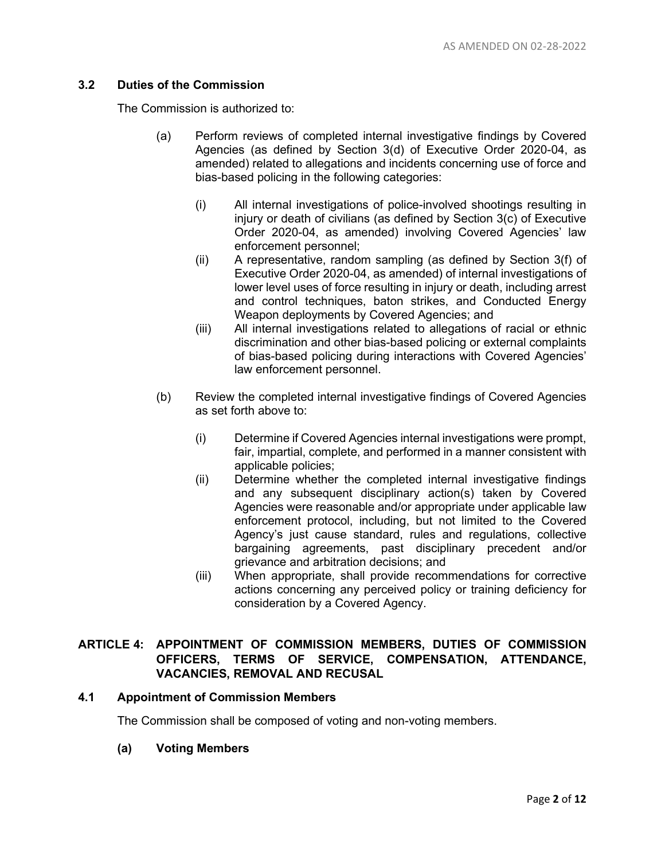### **3.2 Duties of the Commission**

The Commission is authorized to:

- (a) Perform reviews of completed internal investigative findings by Covered Agencies (as defined by Section 3(d) of Executive Order 2020-04, as amended) related to allegations and incidents concerning use of force and bias-based policing in the following categories:
	- (i) All internal investigations of police-involved shootings resulting in injury or death of civilians (as defined by Section 3(c) of Executive Order 2020-04, as amended) involving Covered Agencies' law enforcement personnel;
	- (ii) A representative, random sampling (as defined by Section 3(f) of Executive Order 2020-04, as amended) of internal investigations of lower level uses of force resulting in injury or death, including arrest and control techniques, baton strikes, and Conducted Energy Weapon deployments by Covered Agencies; and
	- (iii) All internal investigations related to allegations of racial or ethnic discrimination and other bias-based policing or external complaints of bias-based policing during interactions with Covered Agencies' law enforcement personnel.
- (b) Review the completed internal investigative findings of Covered Agencies as set forth above to:
	- (i) Determine if Covered Agencies internal investigations were prompt, fair, impartial, complete, and performed in a manner consistent with applicable policies;
	- (ii) Determine whether the completed internal investigative findings and any subsequent disciplinary action(s) taken by Covered Agencies were reasonable and/or appropriate under applicable law enforcement protocol, including, but not limited to the Covered Agency's just cause standard, rules and regulations, collective bargaining agreements, past disciplinary precedent and/or grievance and arbitration decisions; and
	- (iii) When appropriate, shall provide recommendations for corrective actions concerning any perceived policy or training deficiency for consideration by a Covered Agency.

# **ARTICLE 4: APPOINTMENT OF COMMISSION MEMBERS, DUTIES OF COMMISSION OFFICERS, TERMS OF SERVICE, COMPENSATION, ATTENDANCE, VACANCIES, REMOVAL AND RECUSAL**

### **4.1 Appointment of Commission Members**

The Commission shall be composed of voting and non-voting members.

### **(a) Voting Members**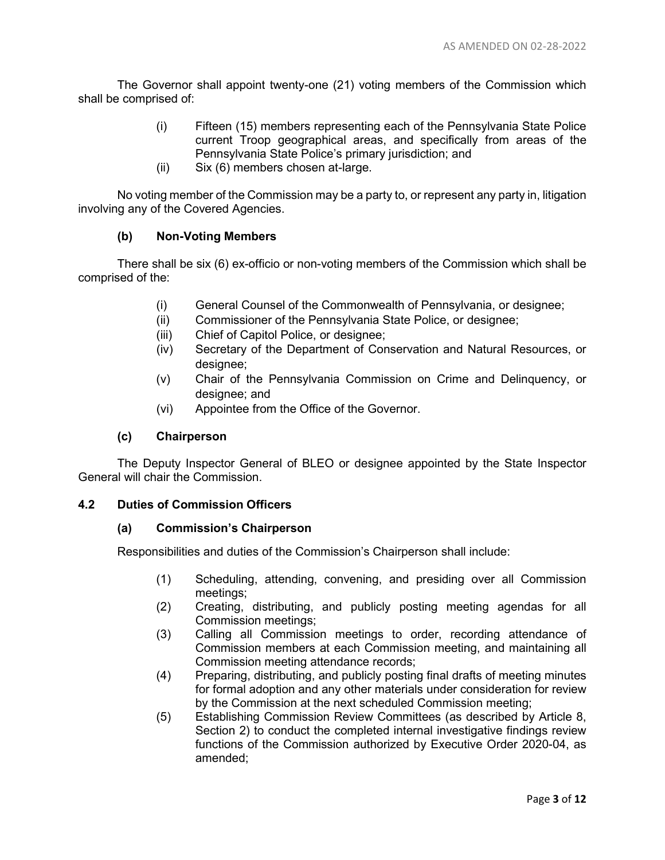The Governor shall appoint twenty-one (21) voting members of the Commission which shall be comprised of:

- (i) Fifteen (15) members representing each of the Pennsylvania State Police current Troop geographical areas, and specifically from areas of the Pennsylvania State Police's primary jurisdiction; and
- (ii) Six (6) members chosen at-large.

No voting member of the Commission may be a party to, or represent any party in, litigation involving any of the Covered Agencies.

### **(b) Non-Voting Members**

There shall be six (6) ex-officio or non-voting members of the Commission which shall be comprised of the:

- (i) General Counsel of the Commonwealth of Pennsylvania, or designee;
- (ii) Commissioner of the Pennsylvania State Police, or designee;
- (iii) Chief of Capitol Police, or designee;
- (iv) Secretary of the Department of Conservation and Natural Resources, or designee;
- (v) Chair of the Pennsylvania Commission on Crime and Delinquency, or designee; and
- (vi) Appointee from the Office of the Governor.

### **(c) Chairperson**

The Deputy Inspector General of BLEO or designee appointed by the State Inspector General will chair the Commission.

### **4.2 Duties of Commission Officers**

### **(a) Commission's Chairperson**

Responsibilities and duties of the Commission's Chairperson shall include:

- (1) Scheduling, attending, convening, and presiding over all Commission meetings;
- (2) Creating, distributing, and publicly posting meeting agendas for all Commission meetings;
- (3) Calling all Commission meetings to order, recording attendance of Commission members at each Commission meeting, and maintaining all Commission meeting attendance records;
- (4) Preparing, distributing, and publicly posting final drafts of meeting minutes for formal adoption and any other materials under consideration for review by the Commission at the next scheduled Commission meeting;
- (5) Establishing Commission Review Committees (as described by Article 8, Section 2) to conduct the completed internal investigative findings review functions of the Commission authorized by Executive Order 2020-04, as amended;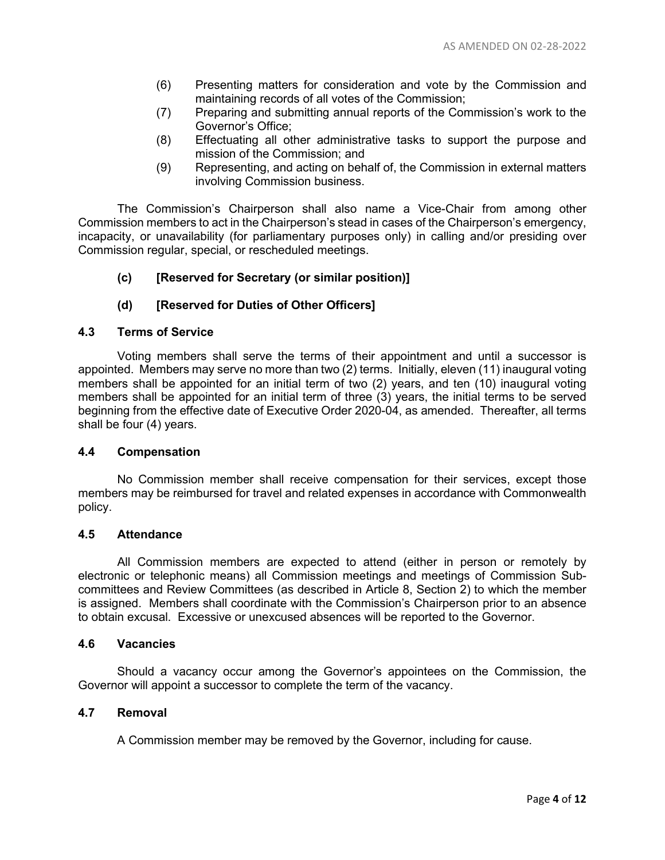- (6) Presenting matters for consideration and vote by the Commission and maintaining records of all votes of the Commission;
- (7) Preparing and submitting annual reports of the Commission's work to the Governor's Office;
- (8) Effectuating all other administrative tasks to support the purpose and mission of the Commission; and
- (9) Representing, and acting on behalf of, the Commission in external matters involving Commission business.

The Commission's Chairperson shall also name a Vice-Chair from among other Commission members to act in the Chairperson's stead in cases of the Chairperson's emergency, incapacity, or unavailability (for parliamentary purposes only) in calling and/or presiding over Commission regular, special, or rescheduled meetings.

**(c) [Reserved for Secretary (or similar position)]**

# **(d) [Reserved for Duties of Other Officers]**

### **4.3 Terms of Service**

Voting members shall serve the terms of their appointment and until a successor is appointed. Members may serve no more than two (2) terms. Initially, eleven (11) inaugural voting members shall be appointed for an initial term of two (2) years, and ten (10) inaugural voting members shall be appointed for an initial term of three (3) years, the initial terms to be served beginning from the effective date of Executive Order 2020-04, as amended. Thereafter, all terms shall be four (4) years.

### **4.4 Compensation**

No Commission member shall receive compensation for their services, except those members may be reimbursed for travel and related expenses in accordance with Commonwealth policy.

### **4.5 Attendance**

All Commission members are expected to attend (either in person or remotely by electronic or telephonic means) all Commission meetings and meetings of Commission Subcommittees and Review Committees (as described in Article 8, Section 2) to which the member is assigned. Members shall coordinate with the Commission's Chairperson prior to an absence to obtain excusal. Excessive or unexcused absences will be reported to the Governor.

### **4.6 Vacancies**

Should a vacancy occur among the Governor's appointees on the Commission, the Governor will appoint a successor to complete the term of the vacancy.

### **4.7 Removal**

A Commission member may be removed by the Governor, including for cause.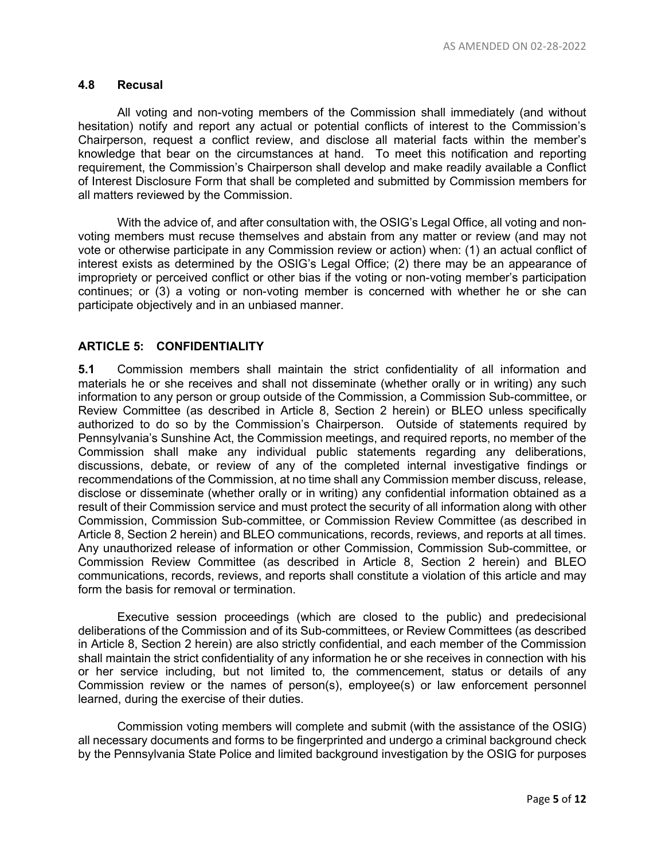### **4.8 Recusal**

All voting and non-voting members of the Commission shall immediately (and without hesitation) notify and report any actual or potential conflicts of interest to the Commission's Chairperson, request a conflict review, and disclose all material facts within the member's knowledge that bear on the circumstances at hand. To meet this notification and reporting requirement, the Commission's Chairperson shall develop and make readily available a Conflict of Interest Disclosure Form that shall be completed and submitted by Commission members for all matters reviewed by the Commission.

With the advice of, and after consultation with, the OSIG's Legal Office, all voting and nonvoting members must recuse themselves and abstain from any matter or review (and may not vote or otherwise participate in any Commission review or action) when: (1) an actual conflict of interest exists as determined by the OSIG's Legal Office; (2) there may be an appearance of impropriety or perceived conflict or other bias if the voting or non-voting member's participation continues; or (3) a voting or non-voting member is concerned with whether he or she can participate objectively and in an unbiased manner.

### **ARTICLE 5: CONFIDENTIALITY**

**5.1** Commission members shall maintain the strict confidentiality of all information and materials he or she receives and shall not disseminate (whether orally or in writing) any such information to any person or group outside of the Commission, a Commission Sub-committee, or Review Committee (as described in Article 8, Section 2 herein) or BLEO unless specifically authorized to do so by the Commission's Chairperson. Outside of statements required by Pennsylvania's Sunshine Act, the Commission meetings, and required reports, no member of the Commission shall make any individual public statements regarding any deliberations, discussions, debate, or review of any of the completed internal investigative findings or recommendations of the Commission, at no time shall any Commission member discuss, release, disclose or disseminate (whether orally or in writing) any confidential information obtained as a result of their Commission service and must protect the security of all information along with other Commission, Commission Sub-committee, or Commission Review Committee (as described in Article 8, Section 2 herein) and BLEO communications, records, reviews, and reports at all times. Any unauthorized release of information or other Commission, Commission Sub-committee, or Commission Review Committee (as described in Article 8, Section 2 herein) and BLEO communications, records, reviews, and reports shall constitute a violation of this article and may form the basis for removal or termination.

Executive session proceedings (which are closed to the public) and predecisional deliberations of the Commission and of its Sub-committees, or Review Committees (as described in Article 8, Section 2 herein) are also strictly confidential, and each member of the Commission shall maintain the strict confidentiality of any information he or she receives in connection with his or her service including, but not limited to, the commencement, status or details of any Commission review or the names of person(s), employee(s) or law enforcement personnel learned, during the exercise of their duties.

Commission voting members will complete and submit (with the assistance of the OSIG) all necessary documents and forms to be fingerprinted and undergo a criminal background check by the Pennsylvania State Police and limited background investigation by the OSIG for purposes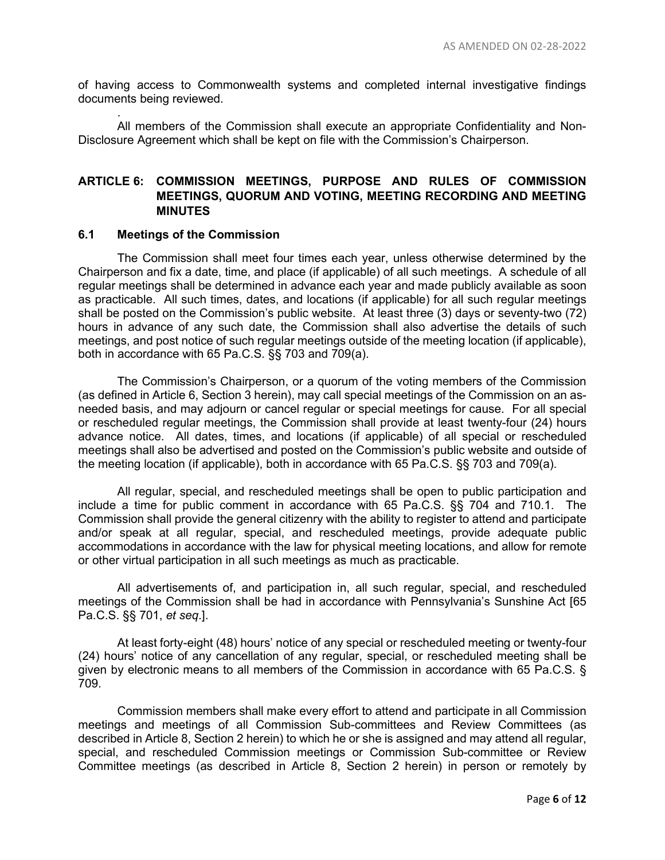of having access to Commonwealth systems and completed internal investigative findings documents being reviewed.

. All members of the Commission shall execute an appropriate Confidentiality and Non-Disclosure Agreement which shall be kept on file with the Commission's Chairperson.

### **ARTICLE 6: COMMISSION MEETINGS, PURPOSE AND RULES OF COMMISSION MEETINGS, QUORUM AND VOTING, MEETING RECORDING AND MEETING MINUTES**

### **6.1 Meetings of the Commission**

The Commission shall meet four times each year, unless otherwise determined by the Chairperson and fix a date, time, and place (if applicable) of all such meetings. A schedule of all regular meetings shall be determined in advance each year and made publicly available as soon as practicable. All such times, dates, and locations (if applicable) for all such regular meetings shall be posted on the Commission's public website. At least three (3) days or seventy-two (72) hours in advance of any such date, the Commission shall also advertise the details of such meetings, and post notice of such regular meetings outside of the meeting location (if applicable), both in accordance with 65 Pa.C.S. §§ 703 and 709(a).

The Commission's Chairperson, or a quorum of the voting members of the Commission (as defined in Article 6, Section 3 herein), may call special meetings of the Commission on an asneeded basis, and may adjourn or cancel regular or special meetings for cause. For all special or rescheduled regular meetings, the Commission shall provide at least twenty-four (24) hours advance notice. All dates, times, and locations (if applicable) of all special or rescheduled meetings shall also be advertised and posted on the Commission's public website and outside of the meeting location (if applicable), both in accordance with 65 Pa.C.S. §§ 703 and 709(a).

All regular, special, and rescheduled meetings shall be open to public participation and include a time for public comment in accordance with 65 Pa.C.S. §§ 704 and 710.1. The Commission shall provide the general citizenry with the ability to register to attend and participate and/or speak at all regular, special, and rescheduled meetings, provide adequate public accommodations in accordance with the law for physical meeting locations, and allow for remote or other virtual participation in all such meetings as much as practicable.

All advertisements of, and participation in, all such regular, special, and rescheduled meetings of the Commission shall be had in accordance with Pennsylvania's Sunshine Act [65 Pa.C.S. §§ 701, *et seq*.].

At least forty-eight (48) hours' notice of any special or rescheduled meeting or twenty-four (24) hours' notice of any cancellation of any regular, special, or rescheduled meeting shall be given by electronic means to all members of the Commission in accordance with 65 Pa.C.S. § 709.

Commission members shall make every effort to attend and participate in all Commission meetings and meetings of all Commission Sub-committees and Review Committees (as described in Article 8, Section 2 herein) to which he or she is assigned and may attend all regular, special, and rescheduled Commission meetings or Commission Sub-committee or Review Committee meetings (as described in Article 8, Section 2 herein) in person or remotely by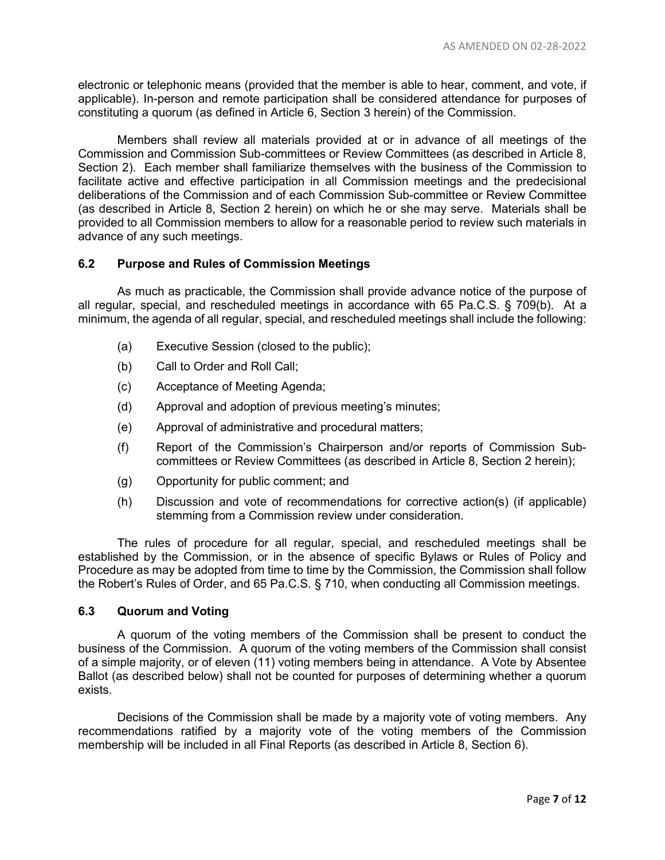electronic or telephonic means (provided that the member is able to hear, comment, and vote, if applicable). In-person and remote participation shall be considered attendance for purposes of constituting a quorum (as defined in Article 6, Section 3 herein) of the Commission.

Members shall review all materials provided at or in advance of all meetings of the Commission and Commission Sub-committees or Review Committees (as described in Article 8, Section 2). Each member shall familiarize themselves with the business of the Commission to facilitate active and effective participation in all Commission meetings and the predecisional deliberations of the Commission and of each Commission Sub-committee or Review Committee (as described in Article 8, Section 2 herein) on which he or she may serve. Materials shall be provided to all Commission members to allow for a reasonable period to review such materials in advance of any such meetings.

# **6.2 Purpose and Rules of Commission Meetings**

As much as practicable, the Commission shall provide advance notice of the purpose of all regular, special, and rescheduled meetings in accordance with 65 Pa.C.S. § 709(b). At a minimum, the agenda of all regular, special, and rescheduled meetings shall include the following:

- (a) Executive Session (closed to the public);
- (b) Call to Order and Roll Call;
- (c) Acceptance of Meeting Agenda;
- (d) Approval and adoption of previous meeting's minutes;
- (e) Approval of administrative and procedural matters;
- (f) Report of the Commission's Chairperson and/or reports of Commission Subcommittees or Review Committees (as described in Article 8, Section 2 herein);
- (g) Opportunity for public comment; and
- (h) Discussion and vote of recommendations for corrective action(s) (if applicable) stemming from a Commission review under consideration.

The rules of procedure for all regular, special, and rescheduled meetings shall be established by the Commission, or in the absence of specific Bylaws or Rules of Policy and Procedure as may be adopted from time to time by the Commission, the Commission shall follow the Robert's Rules of Order, and 65 Pa.C.S. § 710, when conducting all Commission meetings.

### **6.3 Quorum and Voting**

A quorum of the voting members of the Commission shall be present to conduct the business of the Commission. A quorum of the voting members of the Commission shall consist of a simple majority, or of eleven (11) voting members being in attendance. A Vote by Absentee Ballot (as described below) shall not be counted for purposes of determining whether a quorum exists.

Decisions of the Commission shall be made by a majority vote of voting members. Any recommendations ratified by a majority vote of the voting members of the Commission membership will be included in all Final Reports (as described in Article 8, Section 6).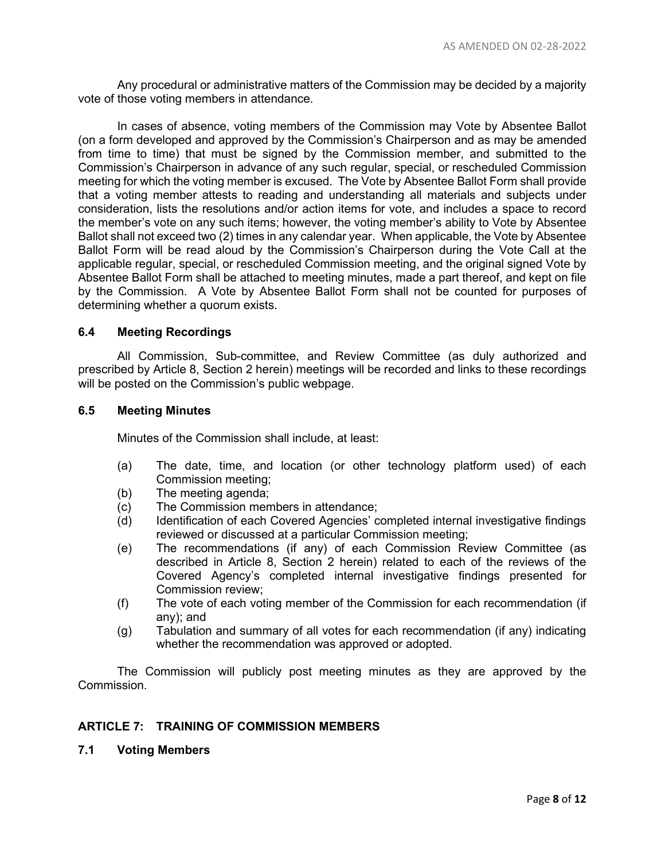Any procedural or administrative matters of the Commission may be decided by a majority vote of those voting members in attendance.

In cases of absence, voting members of the Commission may Vote by Absentee Ballot (on a form developed and approved by the Commission's Chairperson and as may be amended from time to time) that must be signed by the Commission member, and submitted to the Commission's Chairperson in advance of any such regular, special, or rescheduled Commission meeting for which the voting member is excused. The Vote by Absentee Ballot Form shall provide that a voting member attests to reading and understanding all materials and subjects under consideration, lists the resolutions and/or action items for vote, and includes a space to record the member's vote on any such items; however, the voting member's ability to Vote by Absentee Ballot shall not exceed two (2) times in any calendar year. When applicable, the Vote by Absentee Ballot Form will be read aloud by the Commission's Chairperson during the Vote Call at the applicable regular, special, or rescheduled Commission meeting, and the original signed Vote by Absentee Ballot Form shall be attached to meeting minutes, made a part thereof, and kept on file by the Commission. A Vote by Absentee Ballot Form shall not be counted for purposes of determining whether a quorum exists.

### **6.4 Meeting Recordings**

All Commission, Sub-committee, and Review Committee (as duly authorized and prescribed by Article 8, Section 2 herein) meetings will be recorded and links to these recordings will be posted on the Commission's public webpage.

### **6.5 Meeting Minutes**

Minutes of the Commission shall include, at least:

- (a) The date, time, and location (or other technology platform used) of each Commission meeting;
- (b) The meeting agenda;
- (c) The Commission members in attendance;
- (d) Identification of each Covered Agencies' completed internal investigative findings reviewed or discussed at a particular Commission meeting;
- (e) The recommendations (if any) of each Commission Review Committee (as described in Article 8, Section 2 herein) related to each of the reviews of the Covered Agency's completed internal investigative findings presented for Commission review;
- (f) The vote of each voting member of the Commission for each recommendation (if any); and
- (g) Tabulation and summary of all votes for each recommendation (if any) indicating whether the recommendation was approved or adopted.

The Commission will publicly post meeting minutes as they are approved by the Commission.

### **ARTICLE 7: TRAINING OF COMMISSION MEMBERS**

**7.1 Voting Members**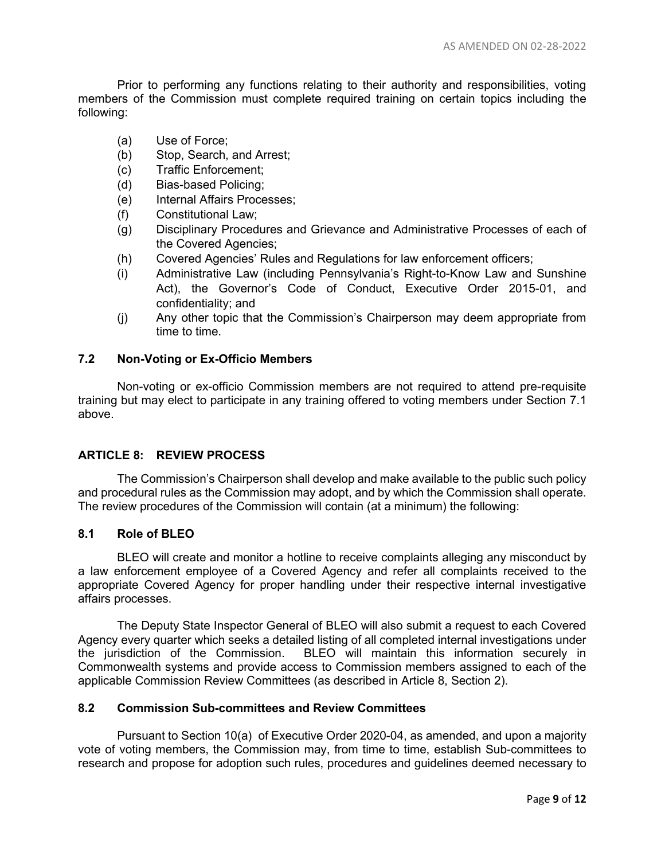Prior to performing any functions relating to their authority and responsibilities, voting members of the Commission must complete required training on certain topics including the following:

- (a) Use of Force;
- (b) Stop, Search, and Arrest;
- (c) Traffic Enforcement;
- (d) Bias-based Policing;
- (e) Internal Affairs Processes;
- (f) Constitutional Law;
- (g) Disciplinary Procedures and Grievance and Administrative Processes of each of the Covered Agencies;
- (h) Covered Agencies' Rules and Regulations for law enforcement officers;
- (i) Administrative Law (including Pennsylvania's Right-to-Know Law and Sunshine Act), the Governor's Code of Conduct, Executive Order 2015-01, and confidentiality; and
- (j) Any other topic that the Commission's Chairperson may deem appropriate from time to time.

### **7.2 Non-Voting or Ex-Officio Members**

Non-voting or ex-officio Commission members are not required to attend pre-requisite training but may elect to participate in any training offered to voting members under Section 7.1 above.

### **ARTICLE 8: REVIEW PROCESS**

The Commission's Chairperson shall develop and make available to the public such policy and procedural rules as the Commission may adopt, and by which the Commission shall operate. The review procedures of the Commission will contain (at a minimum) the following:

### **8.1 Role of BLEO**

BLEO will create and monitor a hotline to receive complaints alleging any misconduct by a law enforcement employee of a Covered Agency and refer all complaints received to the appropriate Covered Agency for proper handling under their respective internal investigative affairs processes.

The Deputy State Inspector General of BLEO will also submit a request to each Covered Agency every quarter which seeks a detailed listing of all completed internal investigations under the jurisdiction of the Commission. BLEO will maintain this information securely in Commonwealth systems and provide access to Commission members assigned to each of the applicable Commission Review Committees (as described in Article 8, Section 2).

### **8.2 Commission Sub-committees and Review Committees**

Pursuant to Section 10(a) of Executive Order 2020-04, as amended, and upon a majority vote of voting members, the Commission may, from time to time, establish Sub-committees to research and propose for adoption such rules, procedures and guidelines deemed necessary to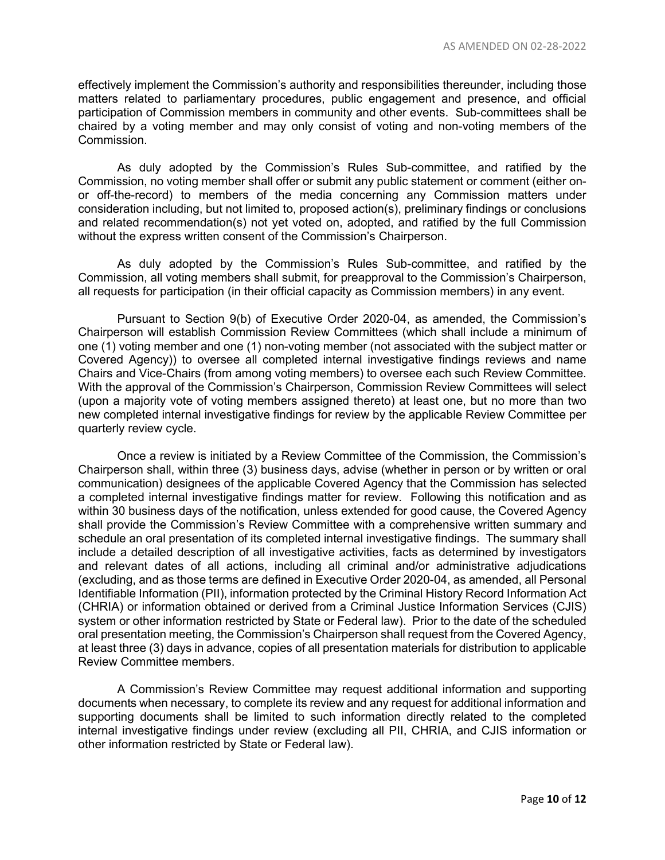effectively implement the Commission's authority and responsibilities thereunder, including those matters related to parliamentary procedures, public engagement and presence, and official participation of Commission members in community and other events. Sub-committees shall be chaired by a voting member and may only consist of voting and non-voting members of the Commission.

As duly adopted by the Commission's Rules Sub-committee, and ratified by the Commission, no voting member shall offer or submit any public statement or comment (either onor off-the-record) to members of the media concerning any Commission matters under consideration including, but not limited to, proposed action(s), preliminary findings or conclusions and related recommendation(s) not yet voted on, adopted, and ratified by the full Commission without the express written consent of the Commission's Chairperson.

As duly adopted by the Commission's Rules Sub-committee, and ratified by the Commission, all voting members shall submit, for preapproval to the Commission's Chairperson, all requests for participation (in their official capacity as Commission members) in any event.

Pursuant to Section 9(b) of Executive Order 2020-04, as amended, the Commission's Chairperson will establish Commission Review Committees (which shall include a minimum of one (1) voting member and one (1) non-voting member (not associated with the subject matter or Covered Agency)) to oversee all completed internal investigative findings reviews and name Chairs and Vice-Chairs (from among voting members) to oversee each such Review Committee. With the approval of the Commission's Chairperson, Commission Review Committees will select (upon a majority vote of voting members assigned thereto) at least one, but no more than two new completed internal investigative findings for review by the applicable Review Committee per quarterly review cycle.

Once a review is initiated by a Review Committee of the Commission, the Commission's Chairperson shall, within three (3) business days, advise (whether in person or by written or oral communication) designees of the applicable Covered Agency that the Commission has selected a completed internal investigative findings matter for review. Following this notification and as within 30 business days of the notification, unless extended for good cause, the Covered Agency shall provide the Commission's Review Committee with a comprehensive written summary and schedule an oral presentation of its completed internal investigative findings. The summary shall include a detailed description of all investigative activities, facts as determined by investigators and relevant dates of all actions, including all criminal and/or administrative adjudications (excluding, and as those terms are defined in Executive Order 2020-04, as amended, all Personal Identifiable Information (PII), information protected by the Criminal History Record Information Act (CHRIA) or information obtained or derived from a Criminal Justice Information Services (CJIS) system or other information restricted by State or Federal law). Prior to the date of the scheduled oral presentation meeting, the Commission's Chairperson shall request from the Covered Agency, at least three (3) days in advance, copies of all presentation materials for distribution to applicable Review Committee members.

A Commission's Review Committee may request additional information and supporting documents when necessary, to complete its review and any request for additional information and supporting documents shall be limited to such information directly related to the completed internal investigative findings under review (excluding all PII, CHRIA, and CJIS information or other information restricted by State or Federal law).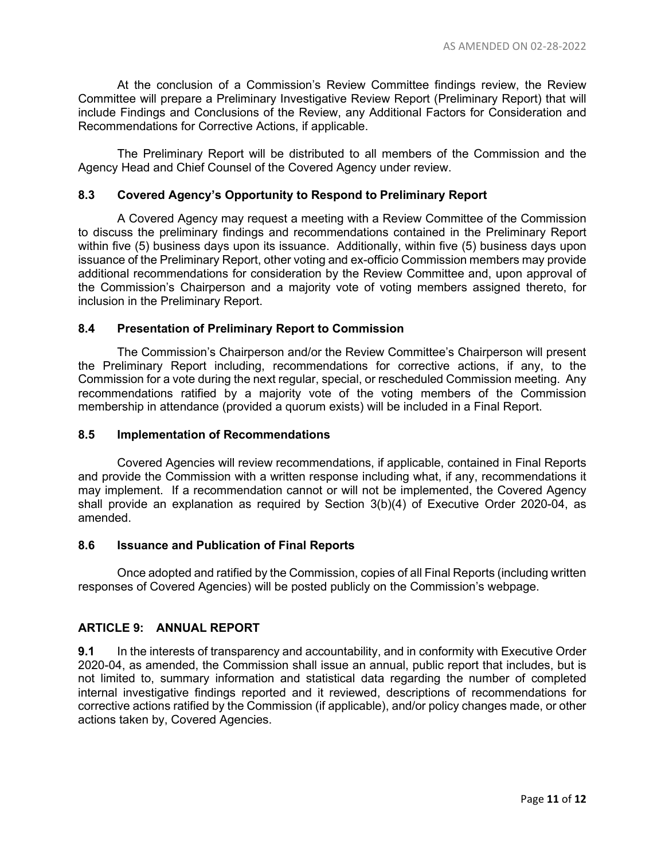At the conclusion of a Commission's Review Committee findings review, the Review Committee will prepare a Preliminary Investigative Review Report (Preliminary Report) that will include Findings and Conclusions of the Review, any Additional Factors for Consideration and Recommendations for Corrective Actions, if applicable.

The Preliminary Report will be distributed to all members of the Commission and the Agency Head and Chief Counsel of the Covered Agency under review.

# **8.3 Covered Agency's Opportunity to Respond to Preliminary Report**

A Covered Agency may request a meeting with a Review Committee of the Commission to discuss the preliminary findings and recommendations contained in the Preliminary Report within five (5) business days upon its issuance. Additionally, within five (5) business days upon issuance of the Preliminary Report, other voting and ex-officio Commission members may provide additional recommendations for consideration by the Review Committee and, upon approval of the Commission's Chairperson and a majority vote of voting members assigned thereto, for inclusion in the Preliminary Report.

### **8.4 Presentation of Preliminary Report to Commission**

The Commission's Chairperson and/or the Review Committee's Chairperson will present the Preliminary Report including, recommendations for corrective actions, if any, to the Commission for a vote during the next regular, special, or rescheduled Commission meeting. Any recommendations ratified by a majority vote of the voting members of the Commission membership in attendance (provided a quorum exists) will be included in a Final Report.

### **8.5 Implementation of Recommendations**

Covered Agencies will review recommendations, if applicable, contained in Final Reports and provide the Commission with a written response including what, if any, recommendations it may implement. If a recommendation cannot or will not be implemented, the Covered Agency shall provide an explanation as required by Section 3(b)(4) of Executive Order 2020-04, as amended.

### **8.6 Issuance and Publication of Final Reports**

Once adopted and ratified by the Commission, copies of all Final Reports (including written responses of Covered Agencies) will be posted publicly on the Commission's webpage.

# **ARTICLE 9: ANNUAL REPORT**

**9.1** In the interests of transparency and accountability, and in conformity with Executive Order 2020-04, as amended, the Commission shall issue an annual, public report that includes, but is not limited to, summary information and statistical data regarding the number of completed internal investigative findings reported and it reviewed, descriptions of recommendations for corrective actions ratified by the Commission (if applicable), and/or policy changes made, or other actions taken by, Covered Agencies.